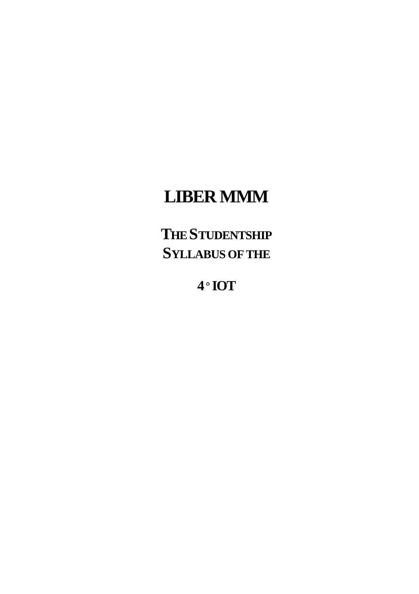# **LIBER MMM**

**THE STUDENTSHIP SYLLABUS OF THE**

**4**° **IOT**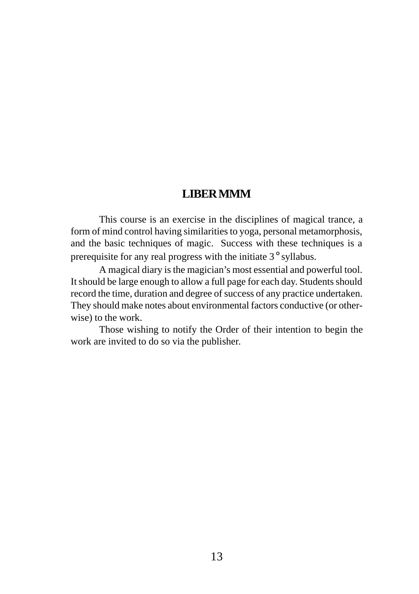#### **LIBER MMM**

This course is an exercise in the disciplines of magical trance, a form of mind control having similarities to yoga, personal metamorphosis, and the basic techniques of magic. Success with these techniques is a prerequisite for any real progress with the initiate 3° syllabus.

A magical diary is the magician's most essential and powerful tool. It should be large enough to allow a full page for each day. Students should record the time, duration and degree of success of any practice undertaken. They should make notes about environmental factors conductive (or otherwise) to the work.

Those wishing to notify the Order of their intention to begin the work are invited to do so via the publisher.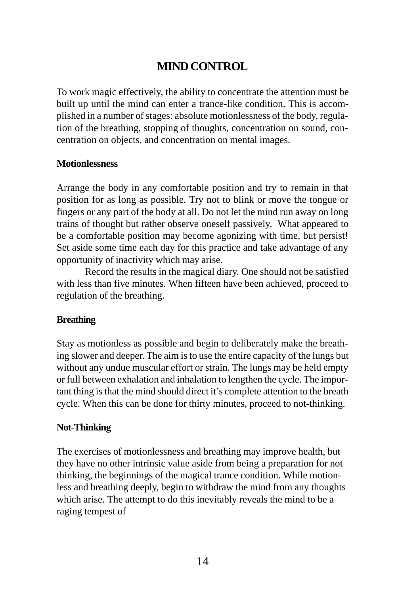## **MIND CONTROL**

To work magic effectively, the ability to concentrate the attention must be built up until the mind can enter a trance-like condition. This is accomplished in a number of stages: absolute motionlessness of the body, regulation of the breathing, stopping of thoughts, concentration on sound, concentration on objects, and concentration on mental images.

#### **Motionlessness**

Arrange the body in any comfortable position and try to remain in that position for as long as possible. Try not to blink or move the tongue or fingers or any part of the body at all. Do not let the mind run away on long trains of thought but rather observe oneself passively. What appeared to be a comfortable position may become agonizing with time, but persist! Set aside some time each day for this practice and take advantage of any opportunity of inactivity which may arise.

Record the results in the magical diary. One should not be satisfied with less than five minutes. When fifteen have been achieved, proceed to regulation of the breathing.

#### **Breathing**

Stay as motionless as possible and begin to deliberately make the breathing slower and deeper. The aim is to use the entire capacity of the lungs but without any undue muscular effort or strain. The lungs may be held empty or full between exhalation and inhalation to lengthen the cycle. The important thing is that the mind should direct it's complete attention to the breath cycle. When this can be done for thirty minutes, proceed to not-thinking.

#### **Not-Thinking**

The exercises of motionlessness and breathing may improve health, but they have no other intrinsic value aside from being a preparation for not thinking, the beginnings of the magical trance condition. While motionless and breathing deeply, begin to withdraw the mind from any thoughts which arise. The attempt to do this inevitably reveals the mind to be a raging tempest of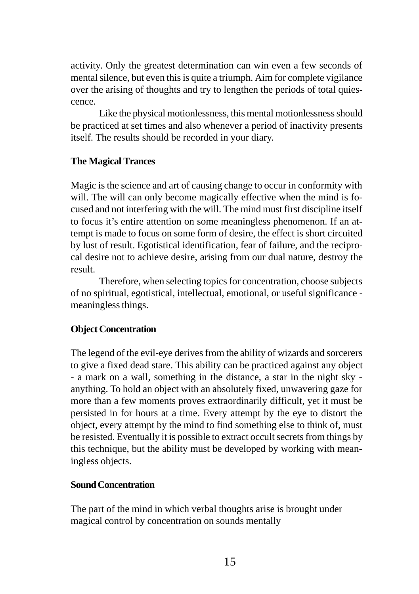activity. Only the greatest determination can win even a few seconds of mental silence, but even this is quite a triumph. Aim for complete vigilance over the arising of thoughts and try to lengthen the periods of total quiescence.

Like the physical motionlessness, this mental motionlessness should be practiced at set times and also whenever a period of inactivity presents itself. The results should be recorded in your diary.

#### **The Magical Trances**

Magic is the science and art of causing change to occur in conformity with will. The will can only become magically effective when the mind is focused and not interfering with the will. The mind must first discipline itself to focus it's entire attention on some meaningless phenomenon. If an attempt is made to focus on some form of desire, the effect is short circuited by lust of result. Egotistical identification, fear of failure, and the reciprocal desire not to achieve desire, arising from our dual nature, destroy the result.

Therefore, when selecting topics for concentration, choose subjects of no spiritual, egotistical, intellectual, emotional, or useful significance meaningless things.

#### **Object Concentration**

The legend of the evil-eye derives from the ability of wizards and sorcerers to give a fixed dead stare. This ability can be practiced against any object - a mark on a wall, something in the distance, a star in the night sky anything. To hold an object with an absolutely fixed, unwavering gaze for more than a few moments proves extraordinarily difficult, yet it must be persisted in for hours at a time. Every attempt by the eye to distort the object, every attempt by the mind to find something else to think of, must be resisted. Eventually it is possible to extract occult secrets from things by this technique, but the ability must be developed by working with meaningless objects.

#### **Sound Concentration**

The part of the mind in which verbal thoughts arise is brought under magical control by concentration on sounds mentally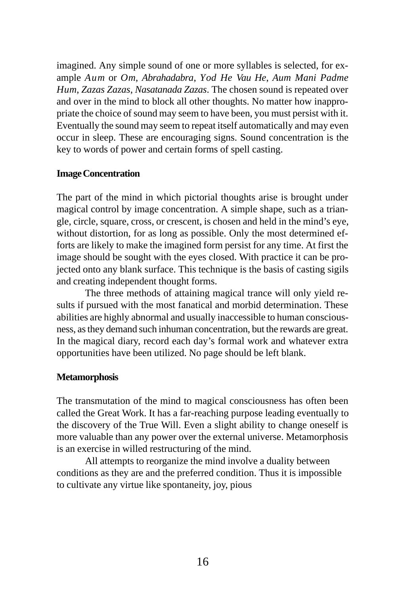imagined. Any simple sound of one or more syllables is selected, for example *Aum* or *Om*, *Abrahadabra*, *Yod He Vau He*, *Aum Mani Padme Hum*, *Zazas Zazas*, *Nasatanada Zazas*. The chosen sound is repeated over and over in the mind to block all other thoughts. No matter how inappropriate the choice of sound may seem to have been, you must persist with it. Eventually the sound may seem to repeat itself automatically and may even occur in sleep. These are encouraging signs. Sound concentration is the key to words of power and certain forms of spell casting.

#### **Image Concentration**

The part of the mind in which pictorial thoughts arise is brought under magical control by image concentration. A simple shape, such as a triangle, circle, square, cross, or crescent, is chosen and held in the mind's eye, without distortion, for as long as possible. Only the most determined efforts are likely to make the imagined form persist for any time. At first the image should be sought with the eyes closed. With practice it can be projected onto any blank surface. This technique is the basis of casting sigils and creating independent thought forms.

The three methods of attaining magical trance will only yield results if pursued with the most fanatical and morbid determination. These abilities are highly abnormal and usually inaccessible to human consciousness, as they demand such inhuman concentration, but the rewards are great. In the magical diary, record each day's formal work and whatever extra opportunities have been utilized. No page should be left blank.

#### **Metamorphosis**

The transmutation of the mind to magical consciousness has often been called the Great Work. It has a far-reaching purpose leading eventually to the discovery of the True Will. Even a slight ability to change oneself is more valuable than any power over the external universe. Metamorphosis is an exercise in willed restructuring of the mind.

All attempts to reorganize the mind involve a duality between conditions as they are and the preferred condition. Thus it is impossible to cultivate any virtue like spontaneity, joy, pious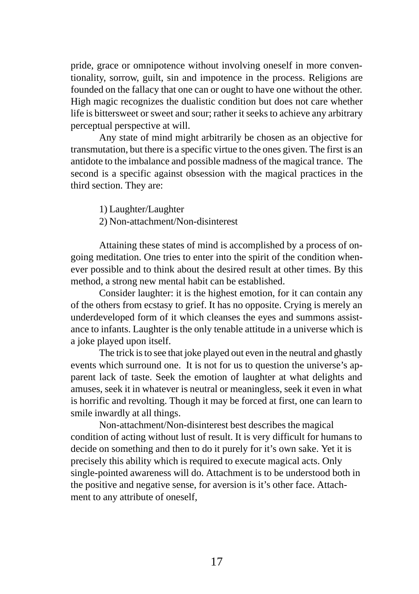pride, grace or omnipotence without involving oneself in more conventionality, sorrow, guilt, sin and impotence in the process. Religions are founded on the fallacy that one can or ought to have one without the other. High magic recognizes the dualistic condition but does not care whether life is bittersweet or sweet and sour; rather it seeks to achieve any arbitrary perceptual perspective at will.

Any state of mind might arbitrarily be chosen as an objective for transmutation, but there is a specific virtue to the ones given. The first is an antidote to the imbalance and possible madness of the magical trance. The second is a specific against obsession with the magical practices in the third section. They are:

1) Laughter/Laughter

2) Non-attachment/Non-disinterest

Attaining these states of mind is accomplished by a process of ongoing meditation. One tries to enter into the spirit of the condition whenever possible and to think about the desired result at other times. By this method, a strong new mental habit can be established.

Consider laughter: it is the highest emotion, for it can contain any of the others from ecstasy to grief. It has no opposite. Crying is merely an underdeveloped form of it which cleanses the eyes and summons assistance to infants. Laughter is the only tenable attitude in a universe which is a joke played upon itself.

The trick is to see that joke played out even in the neutral and ghastly events which surround one. It is not for us to question the universe's apparent lack of taste. Seek the emotion of laughter at what delights and amuses, seek it in whatever is neutral or meaningless, seek it even in what is horrific and revolting. Though it may be forced at first, one can learn to smile inwardly at all things.

Non-attachment/Non-disinterest best describes the magical condition of acting without lust of result. It is very difficult for humans to decide on something and then to do it purely for it's own sake. Yet it is precisely this ability which is required to execute magical acts. Only single-pointed awareness will do. Attachment is to be understood both in the positive and negative sense, for aversion is it's other face. Attachment to any attribute of oneself,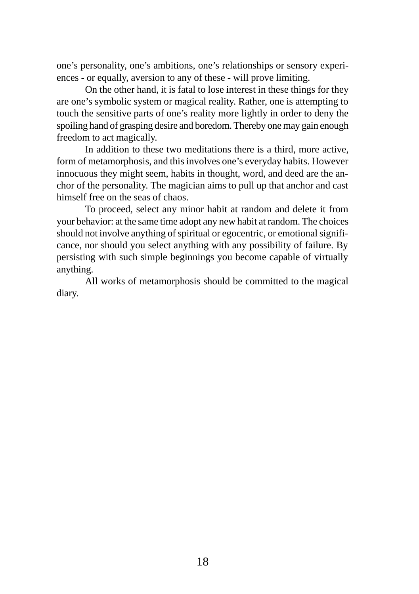one's personality, one's ambitions, one's relationships or sensory experiences - or equally, aversion to any of these - will prove limiting.

On the other hand, it is fatal to lose interest in these things for they are one's symbolic system or magical reality. Rather, one is attempting to touch the sensitive parts of one's reality more lightly in order to deny the spoiling hand of grasping desire and boredom. Thereby one may gain enough freedom to act magically.

In addition to these two meditations there is a third, more active, form of metamorphosis, and this involves one's everyday habits. However innocuous they might seem, habits in thought, word, and deed are the anchor of the personality. The magician aims to pull up that anchor and cast himself free on the seas of chaos.

To proceed, select any minor habit at random and delete it from your behavior: at the same time adopt any new habit at random. The choices should not involve anything of spiritual or egocentric, or emotional significance, nor should you select anything with any possibility of failure. By persisting with such simple beginnings you become capable of virtually anything.

All works of metamorphosis should be committed to the magical diary.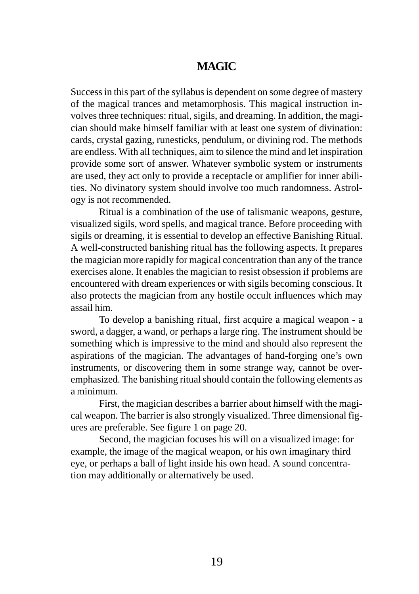#### **MAGIC**

Success in this part of the syllabus is dependent on some degree of mastery of the magical trances and metamorphosis. This magical instruction involves three techniques: ritual, sigils, and dreaming. In addition, the magician should make himself familiar with at least one system of divination: cards, crystal gazing, runesticks, pendulum, or divining rod. The methods are endless. With all techniques, aim to silence the mind and let inspiration provide some sort of answer. Whatever symbolic system or instruments are used, they act only to provide a receptacle or amplifier for inner abilities. No divinatory system should involve too much randomness. Astrology is not recommended.

Ritual is a combination of the use of talismanic weapons, gesture, visualized sigils, word spells, and magical trance. Before proceeding with sigils or dreaming, it is essential to develop an effective Banishing Ritual. A well-constructed banishing ritual has the following aspects. It prepares the magician more rapidly for magical concentration than any of the trance exercises alone. It enables the magician to resist obsession if problems are encountered with dream experiences or with sigils becoming conscious. It also protects the magician from any hostile occult influences which may assail him.

To develop a banishing ritual, first acquire a magical weapon - a sword, a dagger, a wand, or perhaps a large ring. The instrument should be something which is impressive to the mind and should also represent the aspirations of the magician. The advantages of hand-forging one's own instruments, or discovering them in some strange way, cannot be overemphasized. The banishing ritual should contain the following elements as a minimum.

First, the magician describes a barrier about himself with the magical weapon. The barrier is also strongly visualized. Three dimensional figures are preferable. See figure 1 on page 20.

Second, the magician focuses his will on a visualized image: for example, the image of the magical weapon, or his own imaginary third eye, or perhaps a ball of light inside his own head. A sound concentration may additionally or alternatively be used.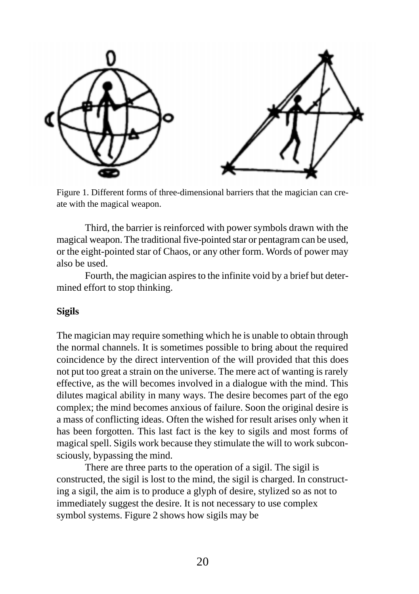

Figure 1. Different forms of three-dimensional barriers that the magician can create with the magical weapon.

Third, the barrier is reinforced with power symbols drawn with the magical weapon. The traditional five-pointed star or pentagram can be used, or the eight-pointed star of Chaos, or any other form. Words of power may also be used.

Fourth, the magician aspires to the infinite void by a brief but determined effort to stop thinking.

#### **Sigils**

The magician may require something which he is unable to obtain through the normal channels. It is sometimes possible to bring about the required coincidence by the direct intervention of the will provided that this does not put too great a strain on the universe. The mere act of wanting is rarely effective, as the will becomes involved in a dialogue with the mind. This dilutes magical ability in many ways. The desire becomes part of the ego complex; the mind becomes anxious of failure. Soon the original desire is a mass of conflicting ideas. Often the wished for result arises only when it has been forgotten. This last fact is the key to sigils and most forms of magical spell. Sigils work because they stimulate the will to work subconsciously, bypassing the mind.

There are three parts to the operation of a sigil. The sigil is constructed, the sigil is lost to the mind, the sigil is charged. In constructing a sigil, the aim is to produce a glyph of desire, stylized so as not to immediately suggest the desire. It is not necessary to use complex symbol systems. Figure 2 shows how sigils may be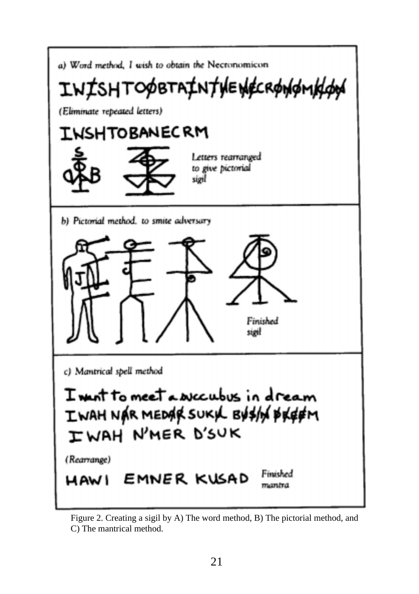

Figure 2. Creating a sigil by A) The word method, B) The pictorial method, and C) The mantrical method.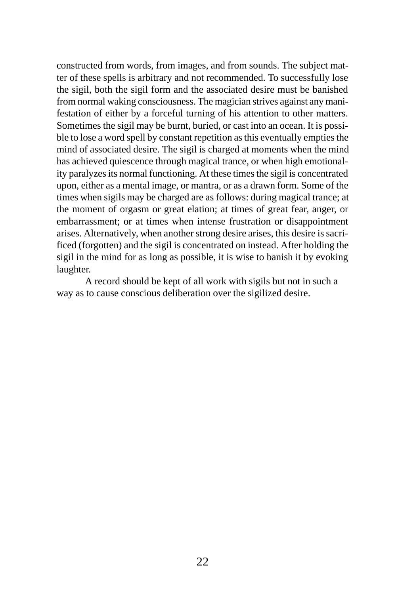constructed from words, from images, and from sounds. The subject matter of these spells is arbitrary and not recommended. To successfully lose the sigil, both the sigil form and the associated desire must be banished from normal waking consciousness. The magician strives against any manifestation of either by a forceful turning of his attention to other matters. Sometimes the sigil may be burnt, buried, or cast into an ocean. It is possible to lose a word spell by constant repetition as this eventually empties the mind of associated desire. The sigil is charged at moments when the mind has achieved quiescence through magical trance, or when high emotionality paralyzes its normal functioning. At these times the sigil is concentrated upon, either as a mental image, or mantra, or as a drawn form. Some of the times when sigils may be charged are as follows: during magical trance; at the moment of orgasm or great elation; at times of great fear, anger, or embarrassment; or at times when intense frustration or disappointment arises. Alternatively, when another strong desire arises, this desire is sacrificed (forgotten) and the sigil is concentrated on instead. After holding the sigil in the mind for as long as possible, it is wise to banish it by evoking laughter.

A record should be kept of all work with sigils but not in such a way as to cause conscious deliberation over the sigilized desire.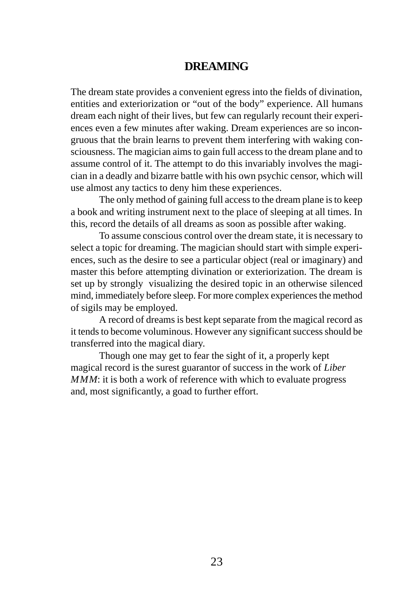#### **DREAMING**

The dream state provides a convenient egress into the fields of divination, entities and exteriorization or "out of the body" experience. All humans dream each night of their lives, but few can regularly recount their experiences even a few minutes after waking. Dream experiences are so incongruous that the brain learns to prevent them interfering with waking consciousness. The magician aims to gain full access to the dream plane and to assume control of it. The attempt to do this invariably involves the magician in a deadly and bizarre battle with his own psychic censor, which will use almost any tactics to deny him these experiences.

The only method of gaining full access to the dream plane is to keep a book and writing instrument next to the place of sleeping at all times. In this, record the details of all dreams as soon as possible after waking.

To assume conscious control over the dream state, it is necessary to select a topic for dreaming. The magician should start with simple experiences, such as the desire to see a particular object (real or imaginary) and master this before attempting divination or exteriorization. The dream is set up by strongly visualizing the desired topic in an otherwise silenced mind, immediately before sleep. For more complex experiences the method of sigils may be employed.

A record of dreams is best kept separate from the magical record as it tends to become voluminous. However any significant success should be transferred into the magical diary.

Though one may get to fear the sight of it, a properly kept magical record is the surest guarantor of success in the work of *Liber MMM*: it is both a work of reference with which to evaluate progress and, most significantly, a goad to further effort.